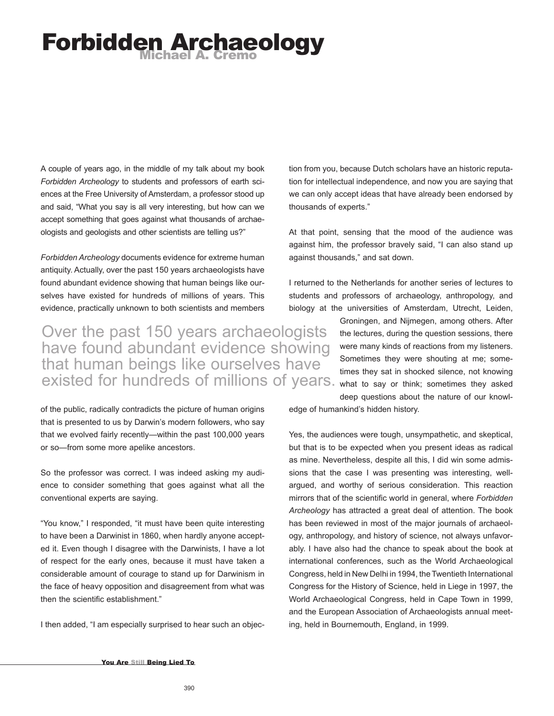## **Forbidden Archaeology**

A couple of years ago, in the middle of my talk about my book *Forbidden Archeology* to students and professors of earth sciences at the Free University of Amsterdam, a professor stood up and said, "What you say is all very interesting, but how can we accept something that goes against what thousands of archaeologists and geologists and other scientists are telling us?"

*Forbidden Archeology* documents evidence for extreme human antiquity. Actually, over the past 150 years archaeologists have found abundant evidence showing that human beings like ourselves have existed for hundreds of millions of years. This evidence, practically unknown to both scientists and members

Over the past 150 years archaeologists have found abundant evidence showing that human beings like ourselves have existed for hundreds of millions of years.

of the public, radically contradicts the picture of human origins that is presented to us by Darwin's modern followers, who say that we evolved fairly recently—within the past 100,000 years or so—from some more apelike ancestors.

So the professor was correct. I was indeed asking my audience to consider something that goes against what all the conventional experts are saying.

"You know," I responded, "it must have been quite interesting to have been a Darwinist in 1860, when hardly anyone accepted it. Even though I disagree with the Darwinists, I have a lot of respect for the early ones, because it must have taken a considerable amount of courage to stand up for Darwinism in the face of heavy opposition and disagreement from what was then the scientific establishment."

I then added, "I am especially surprised to hear such an objec-

tion from you, because Dutch scholars have an historic reputation for intellectual independence, and now you are saying that we can only accept ideas that have already been endorsed by thousands of experts."

At that point, sensing that the mood of the audience was against him, the professor bravely said, "I can also stand up against thousands," and sat down.

I returned to the Netherlands for another series of lectures to students and professors of archaeology, anthropology, and biology at the universities of Amsterdam, Utrecht, Leiden,

> Groningen, and Nijmegen, among others. After the lectures, during the question sessions, there were many kinds of reactions from my listeners. Sometimes they were shouting at me; sometimes they sat in shocked silence, not knowing what to say or think; sometimes they asked deep questions about the nature of our knowl-

edge of humankind's hidden history.

Yes, the audiences were tough, unsympathetic, and skeptical, but that is to be expected when you present ideas as radical as mine. Nevertheless, despite all this, I did win some admissions that the case I was presenting was interesting, wellargued, and worthy of serious consideration. This reaction mirrors that of the scientific world in general, where *Forbidden Archeology* has attracted a great deal of attention. The book has been reviewed in most of the major journals of archaeology, anthropology, and history of science, not always unfavorably. I have also had the chance to speak about the book at international conferences, such as the World Archaeological Congress, held in New Delhi in 1994, the Twentieth International Congress for the History of Science, held in Liege in 1997, the World Archaeological Congress, held in Cape Town in 1999, and the European Association of Archaeologists annual meeting, held in Bournemouth, England, in 1999.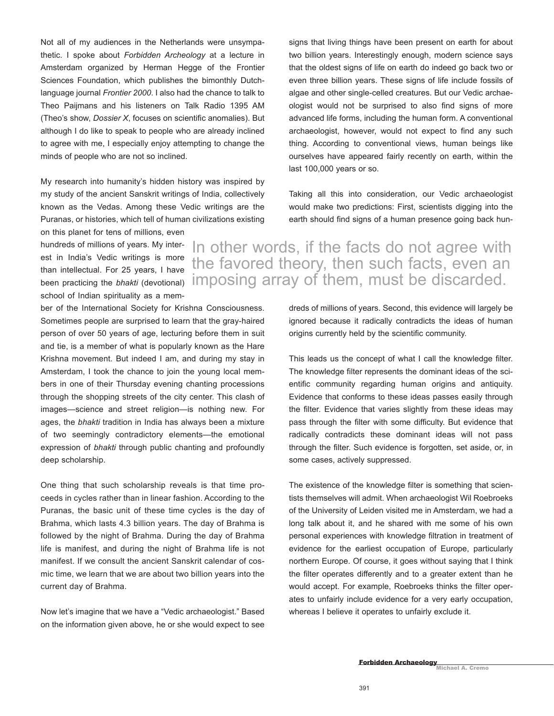Not all of my audiences in the Netherlands were unsympathetic. I spoke about *Forbidden Archeology* at a lecture in Amsterdam organized by Herman Hegge of the Frontier Sciences Foundation, which publishes the bimonthly Dutchlanguage journal *Frontier 2000*. I also had the chance to talk to Theo Paijmans and his listeners on Talk Radio 1395 AM (Theo's show, *Dossier X*, focuses on scientific anomalies). But although I do like to speak to people who are already inclined to agree with me, I especially enjoy attempting to change the minds of people who are not so inclined.

My research into humanity's hidden history was inspired by my study of the ancient Sanskrit writings of India, collectively known as the Vedas. Among these Vedic writings are the Puranas, or histories, which tell of human civilizations existing on this planet for tens of millions, even

hundreds of millions of years. My interest in India's Vedic writings is more than intellectual. For 25 years, I have been practicing the *bhakti* (devotional) school of Indian spirituality as a mem-

ber of the International Society for Krishna Consciousness. Sometimes people are surprised to learn that the gray-haired person of over 50 years of age, lecturing before them in suit and tie, is a member of what is popularly known as the Hare Krishna movement. But indeed I am, and during my stay in Amsterdam, I took the chance to join the young local members in one of their Thursday evening chanting processions through the shopping streets of the city center. This clash of images—science and street religion—is nothing new. For ages, the *bhakti* tradition in India has always been a mixture of two seemingly contradictory elements—the emotional expression of *bhakti* through public chanting and profoundly deep scholarship.

One thing that such scholarship reveals is that time proceeds in cycles rather than in linear fashion. According to the Puranas, the basic unit of these time cycles is the day of Brahma, which lasts 4.3 billion years. The day of Brahma is followed by the night of Brahma. During the day of Brahma life is manifest, and during the night of Brahma life is not manifest. If we consult the ancient Sanskrit calendar of cosmic time, we learn that we are about two billion years into the current day of Brahma.

Now let's imagine that we have a "Vedic archaeologist." Based on the information given above, he or she would expect to see

signs that living things have been present on earth for about two billion years. Interestingly enough, modern science says that the oldest signs of life on earth do indeed go back two or even three billion years. These signs of life include fossils of algae and other single-celled creatures. But our Vedic archaeologist would not be surprised to also find signs of more advanced life forms, including the human form. A conventional archaeologist, however, would not expect to find any such thing. According to conventional views, human beings like ourselves have appeared fairly recently on earth, within the last 100,000 years or so.

Taking all this into consideration, our Vedic archaeologist would make two predictions: First, scientists digging into the earth should find signs of a human presence going back hun-

In other words, if the facts do not agree with the favored theory, then such facts, even an imposing array of them, must be discarded.

> dreds of millions of years. Second, this evidence will largely be ignored because it radically contradicts the ideas of human origins currently held by the scientific community.

> This leads us the concept of what I call the knowledge filter. The knowledge filter represents the dominant ideas of the scientific community regarding human origins and antiquity. Evidence that conforms to these ideas passes easily through the filter. Evidence that varies slightly from these ideas may pass through the filter with some difficulty. But evidence that radically contradicts these dominant ideas will not pass through the filter. Such evidence is forgotten, set aside, or, in some cases, actively suppressed.

> The existence of the knowledge filter is something that scientists themselves will admit. When archaeologist Wil Roebroeks of the University of Leiden visited me in Amsterdam, we had a long talk about it, and he shared with me some of his own personal experiences with knowledge filtration in treatment of evidence for the earliest occupation of Europe, particularly northern Europe. Of course, it goes without saying that I think the filter operates differently and to a greater extent than he would accept. For example, Roebroeks thinks the filter operates to unfairly include evidence for a very early occupation, whereas I believe it operates to unfairly exclude it.

> > **Forbidden Archaeology** Michael A. Cremo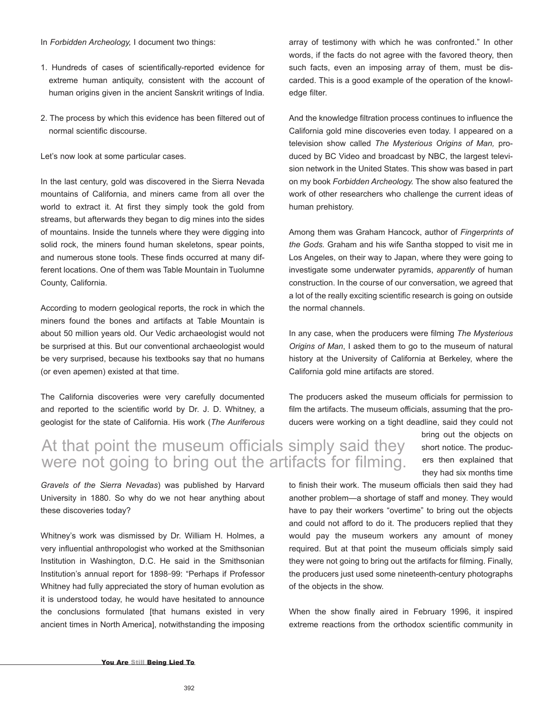- In *Forbidden Archeology,* I document two things:
- 1. Hundreds of cases of scientifically-reported evidence for extreme human antiquity, consistent with the account of human origins given in the ancient Sanskrit writings of India.
- 2. The process by which this evidence has been filtered out of normal scientific discourse.

Let's now look at some particular cases.

In the last century, gold was discovered in the Sierra Nevada mountains of California, and miners came from all over the world to extract it. At first they simply took the gold from streams, but afterwards they began to dig mines into the sides of mountains. Inside the tunnels where they were digging into solid rock, the miners found human skeletons, spear points, and numerous stone tools. These finds occurred at many different locations. One of them was Table Mountain in Tuolumne County, California.

According to modern geological reports, the rock in which the miners found the bones and artifacts at Table Mountain is about 50 million years old. Our Vedic archaeologist would not be surprised at this. But our conventional archaeologist would be very surprised, because his textbooks say that no humans (or even apemen) existed at that time.

The California discoveries were very carefully documented and reported to the scientific world by Dr. J. D. Whitney, a geologist for the state of California. His work (*The Auriferous*  array of testimony with which he was confronted." In other words, if the facts do not agree with the favored theory, then such facts, even an imposing array of them, must be discarded. This is a good example of the operation of the knowledge filter.

And the knowledge filtration process continues to influence the California gold mine discoveries even today. I appeared on a television show called *The Mysterious Origins of Man,* produced by BC Video and broadcast by NBC, the largest television network in the United States. This show was based in part on my book *Forbidden Archeology.* The show also featured the work of other researchers who challenge the current ideas of human prehistory.

Among them was Graham Hancock, author of *Fingerprints of the Gods.* Graham and his wife Santha stopped to visit me in Los Angeles, on their way to Japan, where they were going to investigate some underwater pyramids, *apparently* of human construction. In the course of our conversation, we agreed that a lot of the really exciting scientific research is going on outside the normal channels.

In any case, when the producers were filming *The Mysterious Origins of Man*, I asked them to go to the museum of natural history at the University of California at Berkeley, where the California gold mine artifacts are stored.

The producers asked the museum officials for permission to film the artifacts. The museum officials, assuming that the producers were working on a tight deadline, said they could not

> bring out the objects on short notice. The producers then explained that they had six months time

## At that point the museum officials simply said they were not going to bring out the artifacts for filming.

*Gravels of the Sierra Nevadas*) was published by Harvard University in 1880. So why do we not hear anything about

Whitney's work was dismissed by Dr. William H. Holmes, a very influential anthropologist who worked at the Smithsonian Institution in Washington, D.C. He said in the Smithsonian Institution's annual report for 1898–99: "Perhaps if Professor Whitney had fully appreciated the story of human evolution as it is understood today, he would have hesitated to announce the conclusions formulated [that humans existed in very ancient times in North America], notwithstanding the imposing

these discoveries today?

to finish their work. The museum officials then said they had another problem—a shortage of staff and money. They would have to pay their workers "overtime" to bring out the objects and could not afford to do it. The producers replied that they would pay the museum workers any amount of money required. But at that point the museum officials simply said they were not going to bring out the artifacts for filming. Finally, the producers just used some nineteenth-century photographs of the objects in the show.

When the show finally aired in February 1996, it inspired extreme reactions from the orthodox scientific community in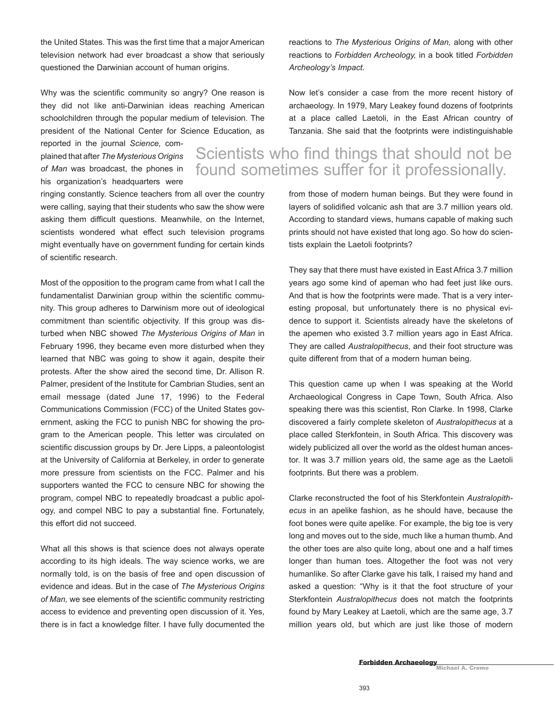the United States. This was the first time that a major American television network had ever broadcast a show that seriously questioned the Darwinian account of human origins.

Why was the scientific community so angry? One reason is they did not like anti-Darwinian ideas reaching American schoolchildren through the popular medium of television. The president of the National Center for Science Education, as

reported in the journal *Science,* complained that after *The Mysterious Origins of Man* was broadcast, the phones in his organization's headquarters were

ringing constantly. Science teachers from all over the country were calling, saying that their students who saw the show were asking them difficult questions. Meanwhile, on the Internet, scientists wondered what effect such television programs might eventually have on government funding for certain kinds of scientific research.

Most of the opposition to the program came from what I call the fundamentalist Darwinian group within the scientific community. This group adheres to Darwinism more out of ideological commitment than scientific objectivity. If this group was disturbed when NBC showed *The Mysterious Origins of Man* in February 1996, they became even more disturbed when they learned that NBC was going to show it again, despite their protests. After the show aired the second time, Dr. Allison R. Palmer, president of the Institute for Cambrian Studies, sent an email message (dated June 17, 1996) to the Federal Communications Commission (FCC) of the United States government, asking the FCC to punish NBC for showing the program to the American people. This letter was circulated on scientific discussion groups by Dr. Jere Lipps, a paleontologist at the University of California at Berkeley, in order to generate more pressure from scientists on the FCC. Palmer and his supporters wanted the FCC to censure NBC for showing the program, compel NBC to repeatedly broadcast a public apology, and compel NBC to pay a substantial fine. Fortunately, this effort did not succeed.

What all this shows is that science does not always operate according to its high ideals. The way science works, we are normally told, is on the basis of free and open discussion of evidence and ideas. But in the case of *The Mysterious Origins of Man,* we see elements of the scientific community restricting access to evidence and preventing open discussion of it. Yes, there is in fact a knowledge filter. I have fully documented the reactions to *The Mysterious Origins of Man,* along with other reactions to *Forbidden Archeology,* in a book titled *Forbidden Archeology's Impact.*

Now let's consider a case from the more recent history of archaeology. In 1979, Mary Leakey found dozens of footprints at a place called Laetoli, in the East African country of Tanzania. She said that the footprints were indistinguishable

## Scientists who find things that should not be found sometimes suffer for it professionally.

from those of modern human beings. But they were found in layers of solidified volcanic ash that are 3.7 million years old. According to standard views, humans capable of making such prints should not have existed that long ago. So how do scientists explain the Laetoli footprints?

They say that there must have existed in East Africa 3.7 million years ago some kind of apeman who had feet just like ours. And that is how the footprints were made. That is a very interesting proposal, but unfortunately there is no physical evidence to support it. Scientists already have the skeletons of the apemen who existed 3.7 million years ago in East Africa. They are called *Australopithecus*, and their foot structure was quite different from that of a modern human being.

This question came up when I was speaking at the World Archaeological Congress in Cape Town, South Africa. Also speaking there was this scientist, Ron Clarke. In 1998, Clarke discovered a fairly complete skeleton of *Australopithecus* at a place called Sterkfontein, in South Africa. This discovery was widely publicized all over the world as the oldest human ancestor. It was 3.7 million years old, the same age as the Laetoli footprints. But there was a problem.

Clarke reconstructed the foot of his Sterkfontein *Australopithecus* in an apelike fashion, as he should have, because the foot bones were quite apelike. For example, the big toe is very long and moves out to the side, much like a human thumb. And the other toes are also quite long, about one and a half times longer than human toes. Altogether the foot was not very humanlike. So after Clarke gave his talk, I raised my hand and asked a question: "Why is it that the foot structure of your Sterkfontein *Australopithecus* does not match the footprints found by Mary Leakey at Laetoli, which are the same age, 3.7 million years old, but which are just like those of modern

**Forbidden Archaeology** Michael A. Cremo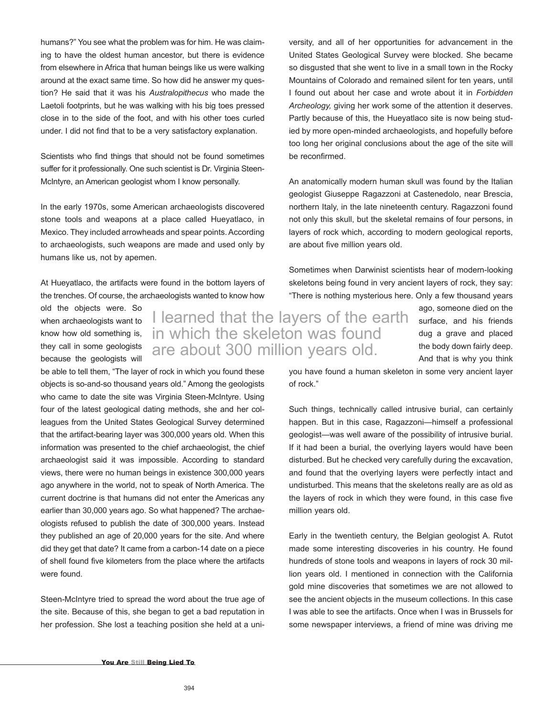humans?" You see what the problem was for him. He was claiming to have the oldest human ancestor, but there is evidence from elsewhere in Africa that human beings like us were walking around at the exact same time. So how did he answer my question? He said that it was his *Australopithecus* who made the Laetoli footprints, but he was walking with his big toes pressed close in to the side of the foot, and with his other toes curled under. I did not find that to be a very satisfactory explanation.

Scientists who find things that should not be found sometimes suffer for it professionally. One such scientist is Dr. Virginia Steen-McIntyre, an American geologist whom I know personally.

In the early 1970s, some American archaeologists discovered stone tools and weapons at a place called Hueyatlaco, in Mexico. They included arrowheads and spear points. According to archaeologists, such weapons are made and used only by humans like us, not by apemen.

At Hueyatlaco, the artifacts were found in the bottom layers of the trenches. Of course, the archaeologists wanted to know how

versity, and all of her opportunities for advancement in the United States Geological Survey were blocked. She became so disgusted that she went to live in a small town in the Rocky Mountains of Colorado and remained silent for ten years, until I found out about her case and wrote about it in *Forbidden Archeology,* giving her work some of the attention it deserves. Partly because of this, the Hueyatlaco site is now being studied by more open-minded archaeologists, and hopefully before too long her original conclusions about the age of the site will be reconfirmed.

An anatomically modern human skull was found by the Italian geologist Giuseppe Ragazzoni at Castenedolo, near Brescia, northern Italy, in the late nineteenth century. Ragazzoni found not only this skull, but the skeletal remains of four persons, in layers of rock which, according to modern geological reports, are about five million years old.

Sometimes when Darwinist scientists hear of modern-looking skeletons being found in very ancient layers of rock, they say: "There is nothing mysterious here. Only a few thousand years

old the objects were. So when archaeologists want to know how old something is, they call in some geologists because the geologists will

## I learned that the layers of the earth in which the skeleton was found are about 300 million years old.

ago, someone died on the surface, and his friends dug a grave and placed the body down fairly deep. And that is why you think

be able to tell them, "The layer of rock in which you found these objects is so-and-so thousand years old." Among the geologists who came to date the site was Virginia Steen-McIntyre. Using four of the latest geological dating methods, she and her colleagues from the United States Geological Survey determined that the artifact-bearing layer was 300,000 years old. When this information was presented to the chief archaeologist, the chief archaeologist said it was impossible. According to standard views, there were no human beings in existence 300,000 years ago anywhere in the world, not to speak of North America. The current doctrine is that humans did not enter the Americas any earlier than 30,000 years ago. So what happened? The archaeologists refused to publish the date of 300,000 years. Instead they published an age of 20,000 years for the site. And where did they get that date? It came from a carbon-14 date on a piece of shell found five kilometers from the place where the artifacts were found.

Steen-McIntyre tried to spread the word about the true age of the site. Because of this, she began to get a bad reputation in her profession. She lost a teaching position she held at a uniyou have found a human skeleton in some very ancient layer of rock."

Such things, technically called intrusive burial, can certainly happen. But in this case, Ragazzoni—himself a professional geologist—was well aware of the possibility of intrusive burial. If it had been a burial, the overlying layers would have been disturbed. But he checked very carefully during the excavation, and found that the overlying layers were perfectly intact and undisturbed. This means that the skeletons really are as old as the layers of rock in which they were found, in this case five million years old.

Early in the twentieth century, the Belgian geologist A. Rutot made some interesting discoveries in his country. He found hundreds of stone tools and weapons in layers of rock 30 million years old. I mentioned in connection with the California gold mine discoveries that sometimes we are not allowed to see the ancient objects in the museum collections. In this case I was able to see the artifacts. Once when I was in Brussels for some newspaper interviews, a friend of mine was driving me

You Are Still Being Lied To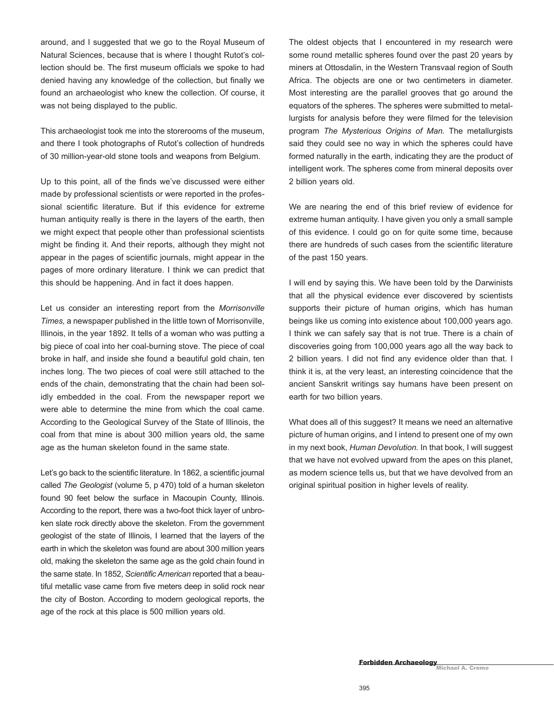around, and I suggested that we go to the Royal Museum of Natural Sciences, because that is where I thought Rutot's collection should be. The first museum officials we spoke to had denied having any knowledge of the collection, but finally we found an archaeologist who knew the collection. Of course, it was not being displayed to the public.

This archaeologist took me into the storerooms of the museum, and there I took photographs of Rutot's collection of hundreds of 30 million-year-old stone tools and weapons from Belgium.

Up to this point, all of the finds we've discussed were either made by professional scientists or were reported in the professional scientific literature. But if this evidence for extreme human antiquity really is there in the layers of the earth, then we might expect that people other than professional scientists might be finding it. And their reports, although they might not appear in the pages of scientific journals, might appear in the pages of more ordinary literature. I think we can predict that this should be happening. And in fact it does happen.

Let us consider an interesting report from the *Morrisonville Times,* a newspaper published in the little town of Morrisonville, Illinois, in the year 1892. It tells of a woman who was putting a big piece of coal into her coal-burning stove. The piece of coal broke in half, and inside she found a beautiful gold chain, ten inches long. The two pieces of coal were still attached to the ends of the chain, demonstrating that the chain had been solidly embedded in the coal. From the newspaper report we were able to determine the mine from which the coal came. According to the Geological Survey of the State of Illinois, the coal from that mine is about 300 million years old, the same age as the human skeleton found in the same state.

Let's go back to the scientific literature. In 1862, a scientific journal called *The Geologist* (volume 5, p 470) told of a human skeleton found 90 feet below the surface in Macoupin County, Illinois. According to the report, there was a two-foot thick layer of unbroken slate rock directly above the skeleton. From the government geologist of the state of Illinois, I learned that the layers of the earth in which the skeleton was found are about 300 million years old, making the skeleton the same age as the gold chain found in the same state. In 1852, *Scientific American* reported that a beautiful metallic vase came from five meters deep in solid rock near the city of Boston. According to modern geological reports, the age of the rock at this place is 500 million years old.

The oldest objects that I encountered in my research were some round metallic spheres found over the past 20 years by miners at Ottosdalin, in the Western Transvaal region of South Africa. The objects are one or two centimeters in diameter. Most interesting are the parallel grooves that go around the equators of the spheres. The spheres were submitted to metallurgists for analysis before they were filmed for the television program *The Mysterious Origins of Man.* The metallurgists said they could see no way in which the spheres could have formed naturally in the earth, indicating they are the product of intelligent work. The spheres come from mineral deposits over 2 billion years old.

We are nearing the end of this brief review of evidence for extreme human antiquity. I have given you only a small sample of this evidence. I could go on for quite some time, because there are hundreds of such cases from the scientific literature of the past 150 years.

I will end by saying this. We have been told by the Darwinists that all the physical evidence ever discovered by scientists supports their picture of human origins, which has human beings like us coming into existence about 100,000 years ago. I think we can safely say that is not true. There is a chain of discoveries going from 100,000 years ago all the way back to 2 billion years. I did not find any evidence older than that. I think it is, at the very least, an interesting coincidence that the ancient Sanskrit writings say humans have been present on earth for two billion years.

What does all of this suggest? It means we need an alternative picture of human origins, and I intend to present one of my own in my next book, *Human Devolution.* In that book, I will suggest that we have not evolved upward from the apes on this planet, as modern science tells us, but that we have devolved from an original spiritual position in higher levels of reality.

**Forbidden Archaeology** Michael A. Cremo